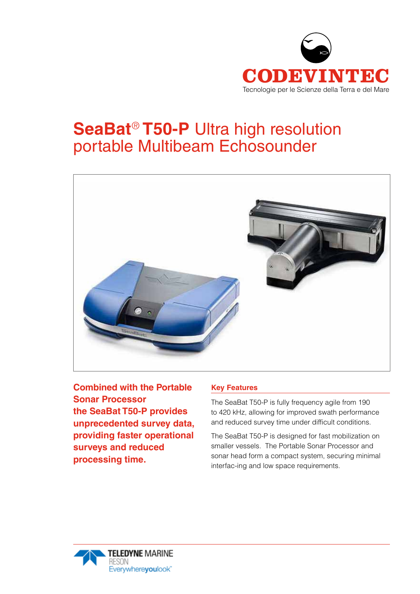

# **SeaBat**® **T50-P** Ultra high resolution portable Multibeam Echosounder



**Combined with the Portable Sonar Processor the SeaBat T50-P provides unprecedented survey data, providing faster operational surveys and reduced processing time.**

#### **Key Features**

The SeaBat T50-P is fully frequency agile from 190 to 420 kHz, allowing for improved swath performance and reduced survey time under difficult conditions.

The SeaBat T50-P is designed for fast mobilization on smaller vessels. The Portable Sonar Processor and sonar head form a compact system, securing minimal interfac-ing and low space requirements.

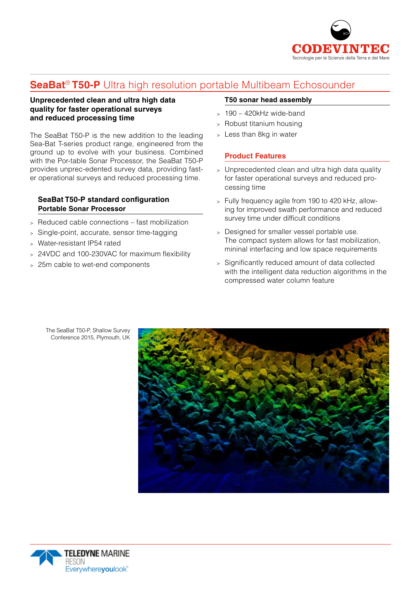

## **SeaBat**® **T50-P** Ultra high resolution portable Multibeam Echosounder

#### **Unprecedented clean and ultra high data quality for faster operational surveys and reduced processing time**

The SeaBat T50-P is the new addition to the leading Sea-Bat T-series product range, engineered from the ground up to evolve with your business. Combined with the Por-table Sonar Processor, the SeaBat T50-P provides unprec-edented survey data, providing faster operational surveys and reduced processing time.

#### **SeaBat T50-P standard configuration Portable Sonar Processor**

- <sup>&</sup>gt; Reduced cable connections fast mobilization
- <sup>&</sup>gt; Single-point, accurate, sensor time-tagging
- <sup>&</sup>gt; Water-resistant IP54 rated
- <sup>&</sup>gt; 24VDC and 100-230VAC for maximum flexibility
- <sup>&</sup>gt; 25m cable to wet-end components

#### **T50 sonar head assembly**

- $> 190 420$ kHz wide-band
- <sup>&</sup>gt; Robust titanium housing
- <sup>&</sup>gt; Less than 8kg in water

#### **Product Features**

- <sup>&</sup>gt; Unprecedented clean and ultra high data quality for faster operational surveys and reduced processing time
- <sup>&</sup>gt; Fully frequency agile from 190 to 420 kHz, allowing for improved swath performance and reduced survey time under difficult conditions
- <sup>&</sup>gt; Designed for smaller vessel portable use. The compact system allows for fast mobilization, mininal interfacing and low space requirements
- <sup>&</sup>gt; Significantly reduced amount of data collected with the intelligent data reduction algorithms in the compressed water column feature





The SeaBat T50-P, Shallow Survey Conference 2015, Plymouth, UK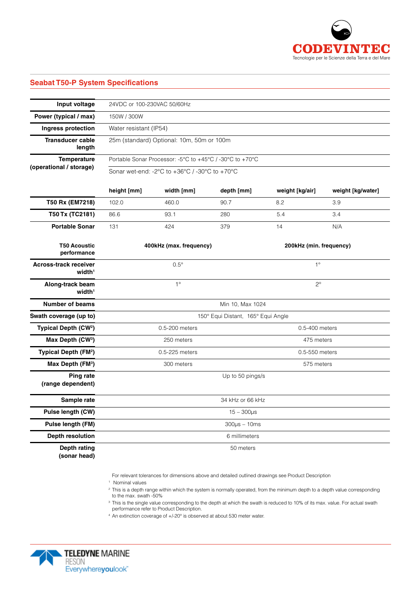

### **Seabat T50-P System Specifications**

| Input voltage                                      | 24VDC or 100-230VAC 50/60Hz                                                                                                                       |       |       |                         |     |             |
|----------------------------------------------------|---------------------------------------------------------------------------------------------------------------------------------------------------|-------|-------|-------------------------|-----|-------------|
| Power (typical / max)                              | 150W / 300W                                                                                                                                       |       |       |                         |     |             |
| Ingress protection                                 | Water resistant (IP54)                                                                                                                            |       |       |                         |     |             |
| <b>Transducer cable</b><br>length                  | 25m (standard) Optional: 10m, 50m or 100m                                                                                                         |       |       |                         |     |             |
| <b>Temperature</b><br>(operational / storage)      | Portable Sonar Processor: -5°C to +45°C / -30°C to +70°C<br>Sonar wet-end: -2 $\degree$ C to +36 $\degree$ C / -30 $\degree$ C to +70 $\degree$ C |       |       |                         |     |             |
|                                                    |                                                                                                                                                   |       |       |                         |     | height [mm] |
|                                                    | T50 Rx (EM7218)                                                                                                                                   | 102.0 | 460.0 | 90.7                    | 8.2 | 3.9         |
| T50 Tx (TC2181)                                    | 86.6                                                                                                                                              | 93.1  | 280   | 5.4                     | 3.4 |             |
| <b>Portable Sonar</b>                              | 131                                                                                                                                               | 424   | 379   | 14                      | N/A |             |
| <b>T50 Acoustic</b><br>performance                 | 400kHz (max. frequency)                                                                                                                           |       |       | 200kHz (min. frequency) |     |             |
| <b>Across-track receiver</b><br>width <sup>1</sup> | $0.5^\circ$                                                                                                                                       |       |       | $1^{\circ}$             |     |             |
| Along-track beam<br>width <sup>1</sup>             | $1^{\circ}$                                                                                                                                       |       |       | $2^{\circ}$             |     |             |
| <b>Number of beams</b>                             | Min 10, Max 1024                                                                                                                                  |       |       |                         |     |             |
| Swath coverage (up to)                             | 150° Equi Distant, 165° Equi Angle                                                                                                                |       |       |                         |     |             |
| Typical Depth (CW <sup>2</sup> )                   | 0.5-200 meters                                                                                                                                    |       |       | 0.5-400 meters          |     |             |
| Max Depth (CW <sup>3</sup> )                       | 250 meters                                                                                                                                        |       |       | 475 meters              |     |             |
| Typical Depth (FM <sup>2</sup> )                   | 0.5-225 meters                                                                                                                                    |       |       | 0.5-550 meters          |     |             |
| Max Depth (FM <sup>3</sup> )                       | 300 meters                                                                                                                                        |       |       | 575 meters              |     |             |
| Ping rate<br>(range dependent)                     | Up to 50 pings/s                                                                                                                                  |       |       |                         |     |             |
| Sample rate                                        | 34 kHz or 66 kHz                                                                                                                                  |       |       |                         |     |             |
| Pulse length (CW)                                  | $15 - 300 \mu s$                                                                                                                                  |       |       |                         |     |             |
| Pulse length (FM)                                  | $300\mu s - 10ms$                                                                                                                                 |       |       |                         |     |             |
| Depth resolution                                   | 6 millimeters                                                                                                                                     |       |       |                         |     |             |
| Depth rating<br>(sonar head)                       | 50 meters                                                                                                                                         |       |       |                         |     |             |

For relevant tolerances for dimensions above and detailed outlined drawings see Product Description

<sup>1</sup> Nominal values

<sup>2</sup> This is a depth range within which the system is normally operated, from the minimum depth to a depth value corresponding to the max. swath -50%.

<sup>3</sup> This is the single value corresponding to the depth at which the swath is reduced to 10% of its max. value. For actual swath performance refer to Product Description.

<sup>4</sup> An extinction coverage of +/-20° is observed at about 530 meter water.